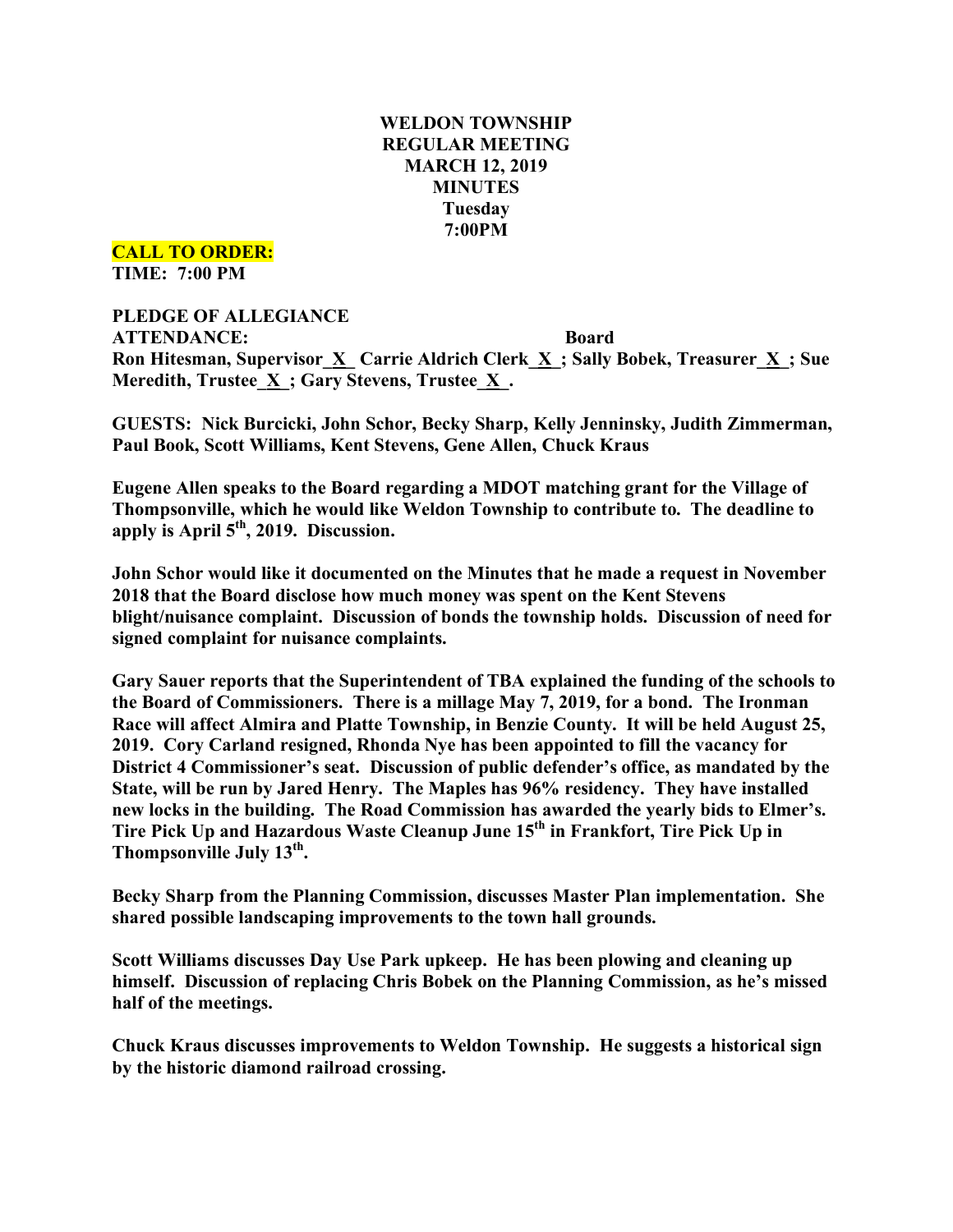# **WELDON TOWNSHIP REGULAR MEETING MARCH 12, 2019 MINUTES Tuesday 7:00PM**

#### **CALL TO ORDER:**

**TIME: 7:00 PM**

# **PLEDGE OF ALLEGIANCE ATTENDANCE: Board Ron Hitesman, Supervisor\_X\_ Carrie Aldrich Clerk\_X\_; Sally Bobek, Treasurer\_X\_; Sue Meredith, Trustee\_X\_; Gary Stevens, Trustee\_X\_.**

**GUESTS: Nick Burcicki, John Schor, Becky Sharp, Kelly Jenninsky, Judith Zimmerman, Paul Book, Scott Williams, Kent Stevens, Gene Allen, Chuck Kraus**

**Eugene Allen speaks to the Board regarding a MDOT matching grant for the Village of Thompsonville, which he would like Weldon Township to contribute to. The deadline to apply is April 5th, 2019. Discussion.**

**John Schor would like it documented on the Minutes that he made a request in November 2018 that the Board disclose how much money was spent on the Kent Stevens blight/nuisance complaint. Discussion of bonds the township holds. Discussion of need for signed complaint for nuisance complaints.**

**Gary Sauer reports that the Superintendent of TBA explained the funding of the schools to the Board of Commissioners. There is a millage May 7, 2019, for a bond. The Ironman Race will affect Almira and Platte Township, in Benzie County. It will be held August 25, 2019. Cory Carland resigned, Rhonda Nye has been appointed to fill the vacancy for District 4 Commissioner's seat. Discussion of public defender's office, as mandated by the State, will be run by Jared Henry. The Maples has 96% residency. They have installed new locks in the building. The Road Commission has awarded the yearly bids to Elmer's. Tire Pick Up and Hazardous Waste Cleanup June 15th in Frankfort, Tire Pick Up in Thompsonville July 13th.**

**Becky Sharp from the Planning Commission, discusses Master Plan implementation. She shared possible landscaping improvements to the town hall grounds.**

**Scott Williams discusses Day Use Park upkeep. He has been plowing and cleaning up himself. Discussion of replacing Chris Bobek on the Planning Commission, as he's missed half of the meetings.**

**Chuck Kraus discusses improvements to Weldon Township. He suggests a historical sign by the historic diamond railroad crossing.**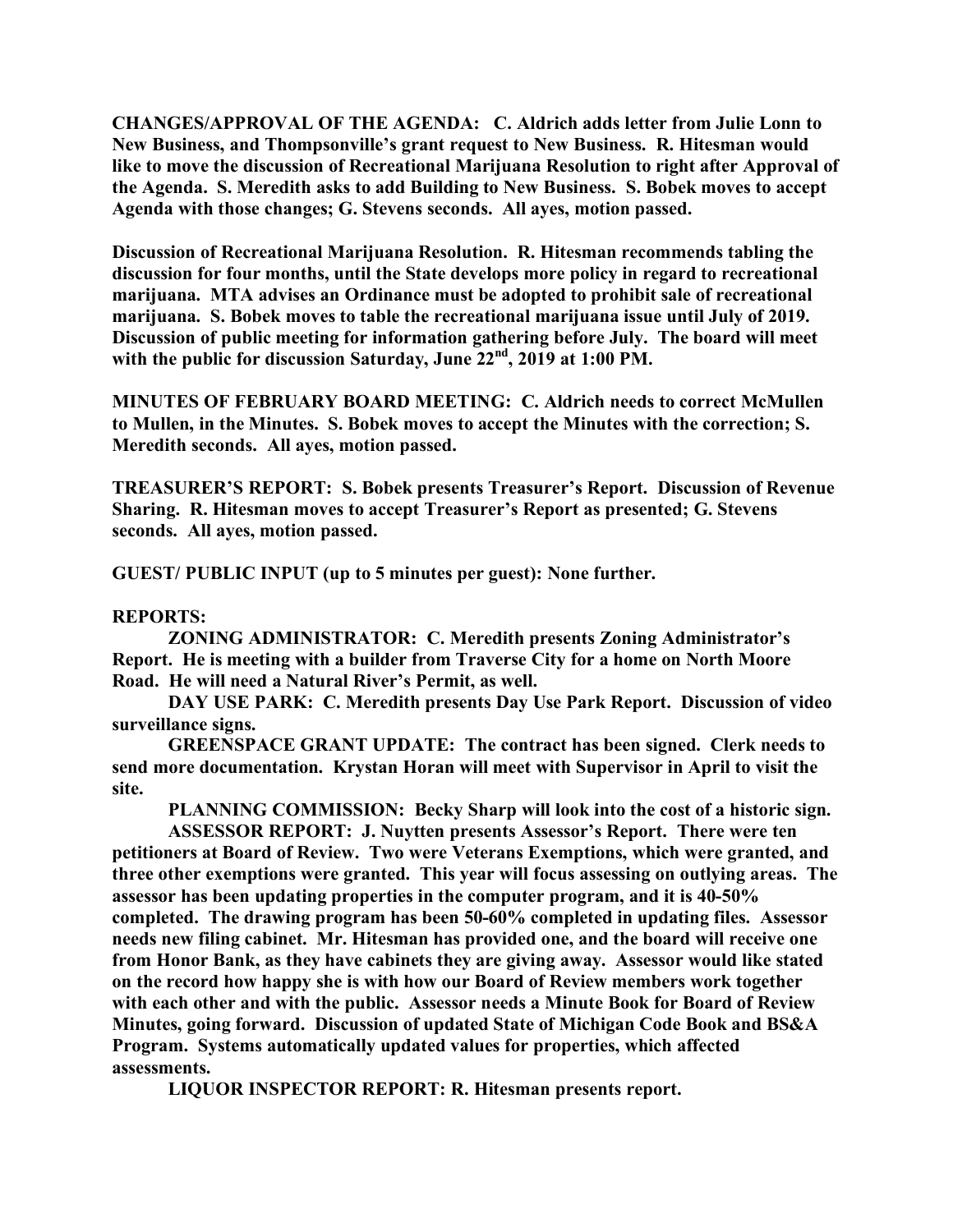**CHANGES/APPROVAL OF THE AGENDA: C. Aldrich adds letter from Julie Lonn to New Business, and Thompsonville's grant request to New Business. R. Hitesman would like to move the discussion of Recreational Marijuana Resolution to right after Approval of the Agenda. S. Meredith asks to add Building to New Business. S. Bobek moves to accept Agenda with those changes; G. Stevens seconds. All ayes, motion passed.**

**Discussion of Recreational Marijuana Resolution. R. Hitesman recommends tabling the discussion for four months, until the State develops more policy in regard to recreational marijuana. MTA advises an Ordinance must be adopted to prohibit sale of recreational marijuana. S. Bobek moves to table the recreational marijuana issue until July of 2019. Discussion of public meeting for information gathering before July. The board will meet with the public for discussion Saturday, June 22nd , 2019 at 1:00 PM.**

**MINUTES OF FEBRUARY BOARD MEETING: C. Aldrich needs to correct McMullen to Mullen, in the Minutes. S. Bobek moves to accept the Minutes with the correction; S. Meredith seconds. All ayes, motion passed.**

**TREASURER'S REPORT: S. Bobek presents Treasurer's Report. Discussion of Revenue Sharing. R. Hitesman moves to accept Treasurer's Report as presented; G. Stevens seconds. All ayes, motion passed.**

**GUEST/ PUBLIC INPUT (up to 5 minutes per guest): None further.**

## **REPORTS:**

**ZONING ADMINISTRATOR: C. Meredith presents Zoning Administrator's Report. He is meeting with a builder from Traverse City for a home on North Moore Road. He will need a Natural River's Permit, as well.**

**DAY USE PARK: C. Meredith presents Day Use Park Report. Discussion of video surveillance signs.**

**GREENSPACE GRANT UPDATE: The contract has been signed. Clerk needs to send more documentation. Krystan Horan will meet with Supervisor in April to visit the site.**

**PLANNING COMMISSION: Becky Sharp will look into the cost of a historic sign.**

**ASSESSOR REPORT: J. Nuytten presents Assessor's Report. There were ten petitioners at Board of Review. Two were Veterans Exemptions, which were granted, and three other exemptions were granted. This year will focus assessing on outlying areas. The assessor has been updating properties in the computer program, and it is 40-50% completed. The drawing program has been 50-60% completed in updating files. Assessor needs new filing cabinet. Mr. Hitesman has provided one, and the board will receive one from Honor Bank, as they have cabinets they are giving away. Assessor would like stated on the record how happy she is with how our Board of Review members work together with each other and with the public. Assessor needs a Minute Book for Board of Review Minutes, going forward. Discussion of updated State of Michigan Code Book and BS&A Program. Systems automatically updated values for properties, which affected assessments.**

**LIQUOR INSPECTOR REPORT: R. Hitesman presents report.**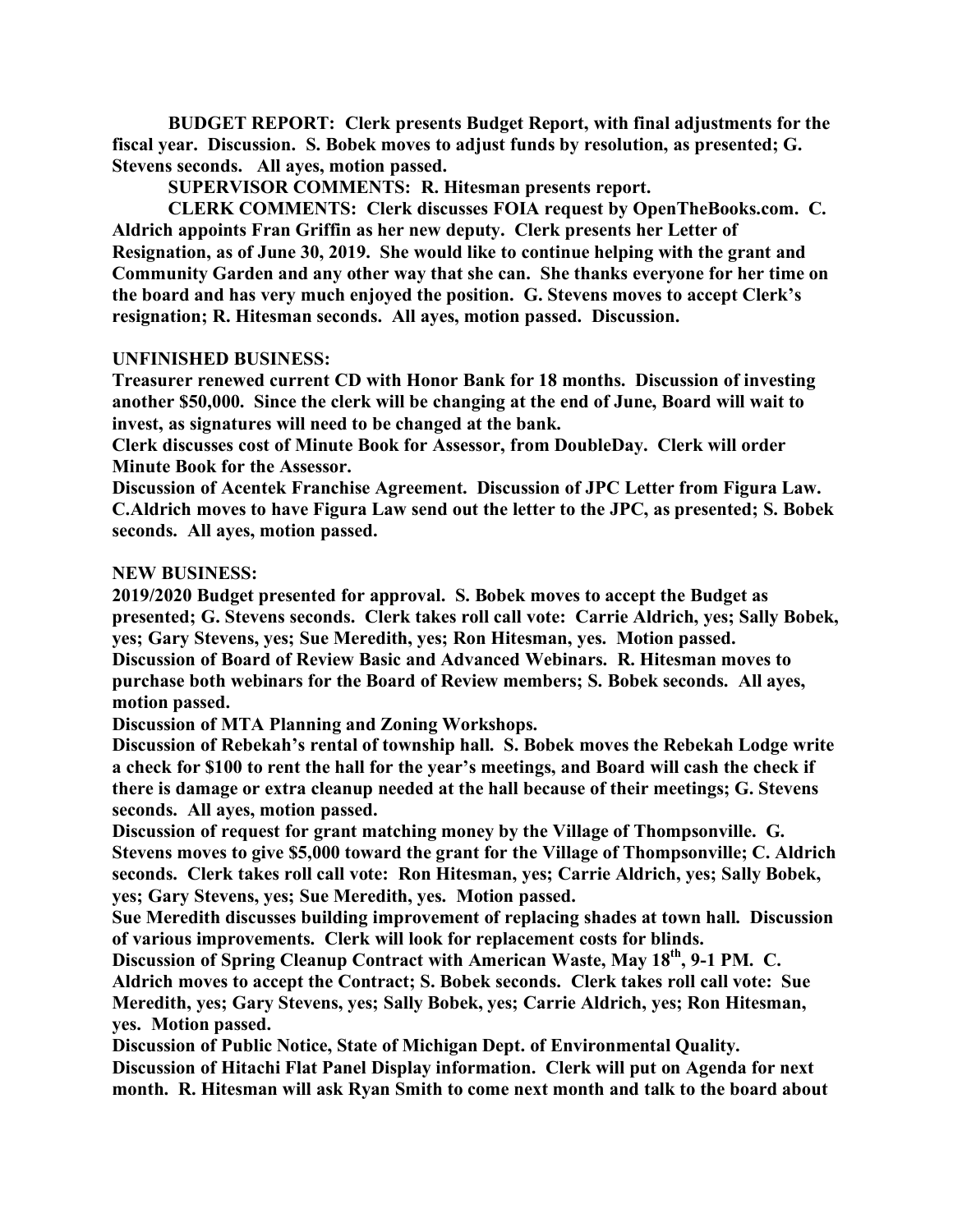**BUDGET REPORT: Clerk presents Budget Report, with final adjustments for the fiscal year. Discussion. S. Bobek moves to adjust funds by resolution, as presented; G. Stevens seconds. All ayes, motion passed.**

**SUPERVISOR COMMENTS: R. Hitesman presents report.**

**CLERK COMMENTS: Clerk discusses FOIA request by OpenTheBooks.com. C. Aldrich appoints Fran Griffin as her new deputy. Clerk presents her Letter of Resignation, as of June 30, 2019. She would like to continue helping with the grant and Community Garden and any other way that she can. She thanks everyone for her time on the board and has very much enjoyed the position. G. Stevens moves to accept Clerk's resignation; R. Hitesman seconds. All ayes, motion passed. Discussion.**

#### **UNFINISHED BUSINESS:**

**Treasurer renewed current CD with Honor Bank for 18 months. Discussion of investing another \$50,000. Since the clerk will be changing at the end of June, Board will wait to invest, as signatures will need to be changed at the bank.**

**Clerk discusses cost of Minute Book for Assessor, from DoubleDay. Clerk will order Minute Book for the Assessor.**

**Discussion of Acentek Franchise Agreement. Discussion of JPC Letter from Figura Law. C.Aldrich moves to have Figura Law send out the letter to the JPC, as presented; S. Bobek seconds. All ayes, motion passed.**

#### **NEW BUSINESS:**

**2019/2020 Budget presented for approval. S. Bobek moves to accept the Budget as presented; G. Stevens seconds. Clerk takes roll call vote: Carrie Aldrich, yes; Sally Bobek, yes; Gary Stevens, yes; Sue Meredith, yes; Ron Hitesman, yes. Motion passed.**

**Discussion of Board of Review Basic and Advanced Webinars. R. Hitesman moves to purchase both webinars for the Board of Review members; S. Bobek seconds. All ayes, motion passed.**

**Discussion of MTA Planning and Zoning Workshops.**

**Discussion of Rebekah's rental of township hall. S. Bobek moves the Rebekah Lodge write a check for \$100 to rent the hall for the year's meetings, and Board will cash the check if there is damage or extra cleanup needed at the hall because of their meetings; G. Stevens seconds. All ayes, motion passed.**

**Discussion of request for grant matching money by the Village of Thompsonville. G. Stevens moves to give \$5,000 toward the grant for the Village of Thompsonville; C. Aldrich seconds. Clerk takes roll call vote: Ron Hitesman, yes; Carrie Aldrich, yes; Sally Bobek, yes; Gary Stevens, yes; Sue Meredith, yes. Motion passed.**

**Sue Meredith discusses building improvement of replacing shades at town hall. Discussion of various improvements. Clerk will look for replacement costs for blinds.**

**Discussion of Spring Cleanup Contract with American Waste, May 18th, 9-1 PM. C.**

**Aldrich moves to accept the Contract; S. Bobek seconds. Clerk takes roll call vote: Sue Meredith, yes; Gary Stevens, yes; Sally Bobek, yes; Carrie Aldrich, yes; Ron Hitesman, yes. Motion passed.**

**Discussion of Public Notice, State of Michigan Dept. of Environmental Quality. Discussion of Hitachi Flat Panel Display information. Clerk will put on Agenda for next month. R. Hitesman will ask Ryan Smith to come next month and talk to the board about**